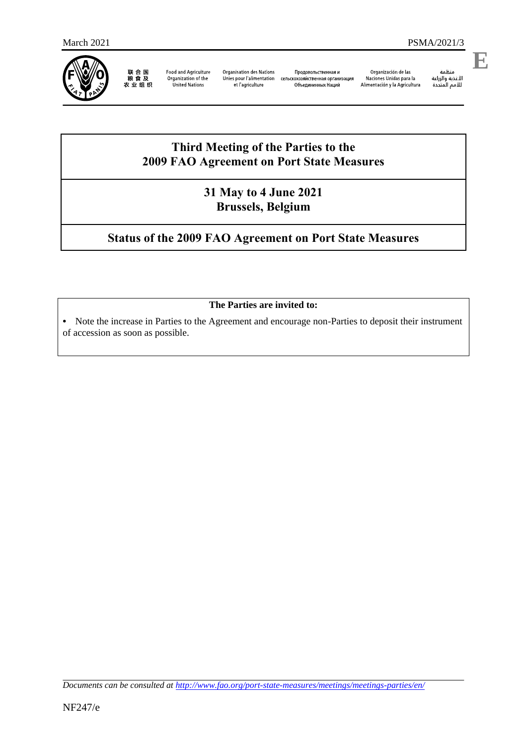

联合国<br>粮食及<br>农业组织

**Food and Agriculture** Organization of the<br>United Nations

**Organisation des Nations** Продовольственная и Unies pour l'alimentation сельскохозяйственная организация et l'agriculture

Объединенных Наций

Organización de las Naciones Unidas para la<br>Alimentación y la Agricultura

منظمة منطمه<br>الأغذية والزراعة<br>للأمم المتددة **E**

# **Third Meeting of the Parties to the 2009 FAO Agreement on Port State Measures**

### **31 May to 4 June 2021 Brussels, Belgium**

# **Status of the 2009 FAO Agreement on Port State Measures**

### **The Parties are invited to:**

**•** Note the increase in Parties to the Agreement and encourage non-Parties to deposit their instrument of accession as soon as possible.

*Documents can be consulted at<http://www.fao.org/port-state-measures/meetings/meetings-parties/en/>*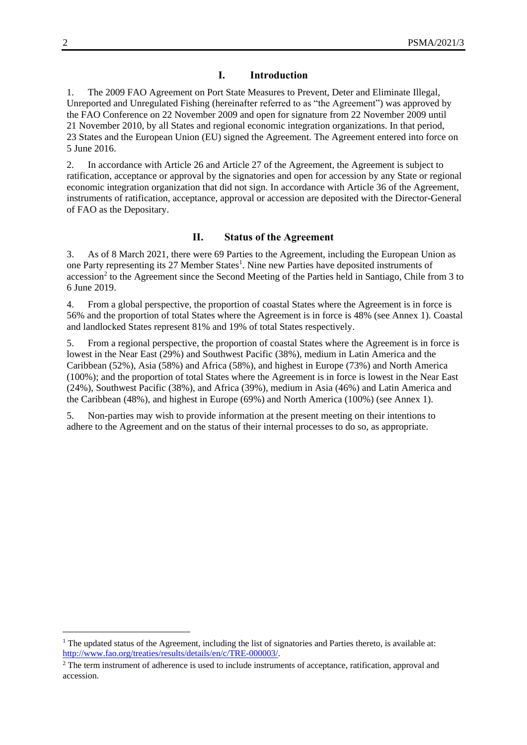#### **I. Introduction**

1. The 2009 FAO Agreement on Port State Measures to Prevent, Deter and Eliminate Illegal, Unreported and Unregulated Fishing (hereinafter referred to as "the Agreement") was approved by the FAO Conference on 22 November 2009 and open for signature from 22 November 2009 until 21 November 2010, by all States and regional economic integration organizations. In that period, 23 States and the European Union (EU) signed the Agreement. The Agreement entered into force on 5 June 2016.

2. In accordance with Article 26 and Article 27 of the Agreement, the Agreement is subject to ratification, acceptance or approval by the signatories and open for accession by any State or regional economic integration organization that did not sign. In accordance with Article 36 of the Agreement, instruments of ratification, acceptance, approval or accession are deposited with the Director-General of FAO as the Depositary.

#### **II. Status of the Agreement**

3. As of 8 March 2021, there were 69 Parties to the Agreement, including the European Union as one Party representing its 27 Member States<sup>1</sup>. Nine new Parties have deposited instruments of accession<sup>2</sup> to the Agreement since the Second Meeting of the Parties held in Santiago, Chile from 3 to 6 June 2019.

4. From a global perspective, the proportion of coastal States where the Agreement is in force is 56% and the proportion of total States where the Agreement is in force is 48% (see Annex 1). Coastal and landlocked States represent 81% and 19% of total States respectively.

5. From a regional perspective, the proportion of coastal States where the Agreement is in force is lowest in the Near East (29%) and Southwest Pacific (38%), medium in Latin America and the Caribbean (52%), Asia (58%) and Africa (58%), and highest in Europe (73%) and North America (100%); and the proportion of total States where the Agreement is in force is lowest in the Near East (24%), Southwest Pacific (38%), and Africa (39%), medium in Asia (46%) and Latin America and the Caribbean (48%), and highest in Europe (69%) and North America (100%) (see Annex 1).

5. Non-parties may wish to provide information at the present meeting on their intentions to adhere to the Agreement and on the status of their internal processes to do so, as appropriate.

1

<sup>&</sup>lt;sup>1</sup> The updated status of the Agreement, including the list of signatories and Parties thereto, is available at: [http://www.fao.org/treaties/results/details/en/c/TRE-000003/.](http://www.fao.org/treaties/results/details/en/c/TRE-000003/)

<sup>&</sup>lt;sup>2</sup> The term instrument of adherence is used to include instruments of acceptance, ratification, approval and accession.